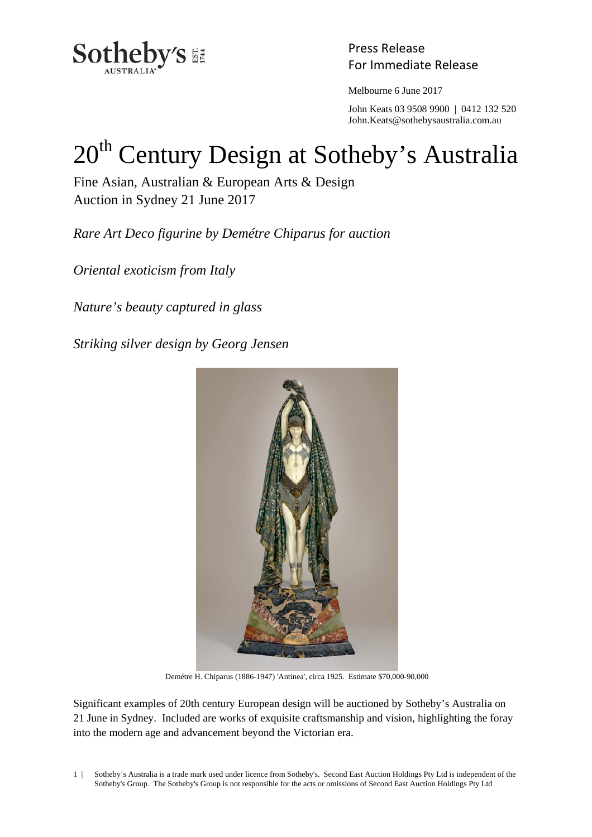

Press Release

Melbourne 6 June 2017

 John Keats 03 9508 9900 | 0412 132 520 John.Keats@sothebysaustralia.com.au

# 20<sup>th</sup> Century Design at Sotheby's Australia

Fine Asian, Australian & European Arts & Design Auction in Sydney 21 June 2017

*Rare Art Deco figurine by Demétre Chiparus for auction* 

*Oriental exoticism from Italy* 

*Nature's beauty captured in glass* 

*Striking silver design by Georg Jensen* 



Demétre H. Chiparus (1886-1947) 'Antinea', circa 1925. Estimate \$70,000-90,000

Significant examples of 20th century European design will be auctioned by Sotheby's Australia on 21 June in Sydney. Included are works of exquisite craftsmanship and vision, highlighting the foray into the modern age and advancement beyond the Victorian era.

1 | Sotheby's Australia is a trade mark used under licence from Sotheby's. Second East Auction Holdings Pty Ltd is independent of the Sotheby's Group. The Sotheby's Group is not responsible for the acts or omissions of Second East Auction Holdings Pty Ltd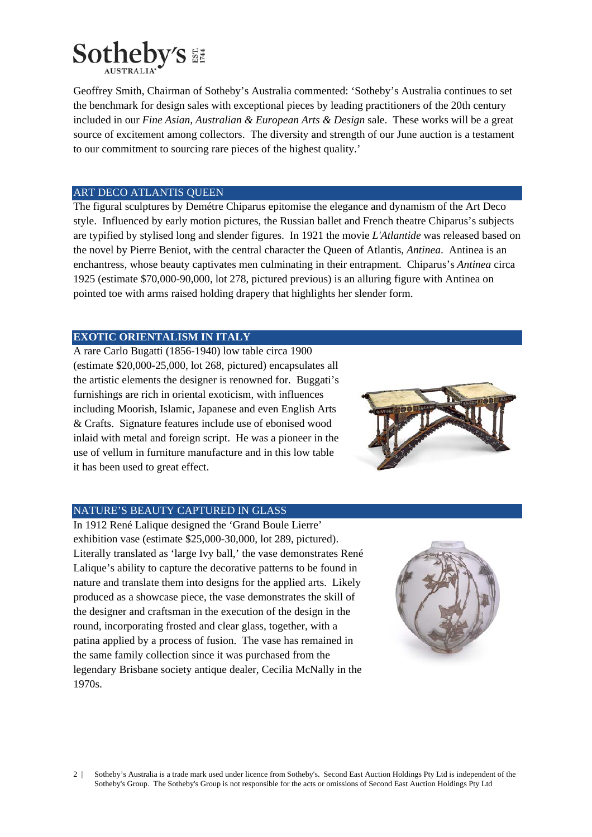

Geoffrey Smith, Chairman of Sotheby's Australia commented: 'Sotheby's Australia continues to set the benchmark for design sales with exceptional pieces by leading practitioners of the 20th century included in our *Fine Asian, Australian & European Arts & Design* sale. These works will be a great source of excitement among collectors. The diversity and strength of our June auction is a testament to our commitment to sourcing rare pieces of the highest quality.'

### ART DECO ATLANTIS QUEEN

The figural sculptures by Demétre Chiparus epitomise the elegance and dynamism of the Art Deco style. Influenced by early motion pictures, the Russian ballet and French theatre Chiparus's subjects are typified by stylised long and slender figures. In 1921 the movie *L'Atlantide* was released based on the novel by Pierre Beniot, with the central character the Queen of Atlantis, *Antinea*. Antinea is an enchantress, whose beauty captivates men culminating in their entrapment. Chiparus's *Antinea* circa 1925 (estimate \$70,000-90,000, lot 278, pictured previous) is an alluring figure with Antinea on pointed toe with arms raised holding drapery that highlights her slender form.

# **EXOTIC ORIENTALISM IN ITALY**

A rare Carlo Bugatti (1856-1940) low table circa 1900 (estimate \$20,000-25,000, lot 268, pictured) encapsulates all the artistic elements the designer is renowned for. Buggati's furnishings are rich in oriental exoticism, with influences including Moorish, Islamic, Japanese and even English Arts & Crafts. Signature features include use of ebonised wood inlaid with metal and foreign script. He was a pioneer in the use of vellum in furniture manufacture and in this low table it has been used to great effect.



#### NATURE'S BEAUTY CAPTURED IN GLASS

In 1912 René Lalique designed the 'Grand Boule Lierre' exhibition vase (estimate \$25,000-30,000, lot 289, pictured). Literally translated as 'large Ivy ball,' the vase demonstrates René Lalique's ability to capture the decorative patterns to be found in nature and translate them into designs for the applied arts. Likely produced as a showcase piece, the vase demonstrates the skill of the designer and craftsman in the execution of the design in the round, incorporating frosted and clear glass, together, with a patina applied by a process of fusion. The vase has remained in the same family collection since it was purchased from the legendary Brisbane society antique dealer, Cecilia McNally in the 1970s.